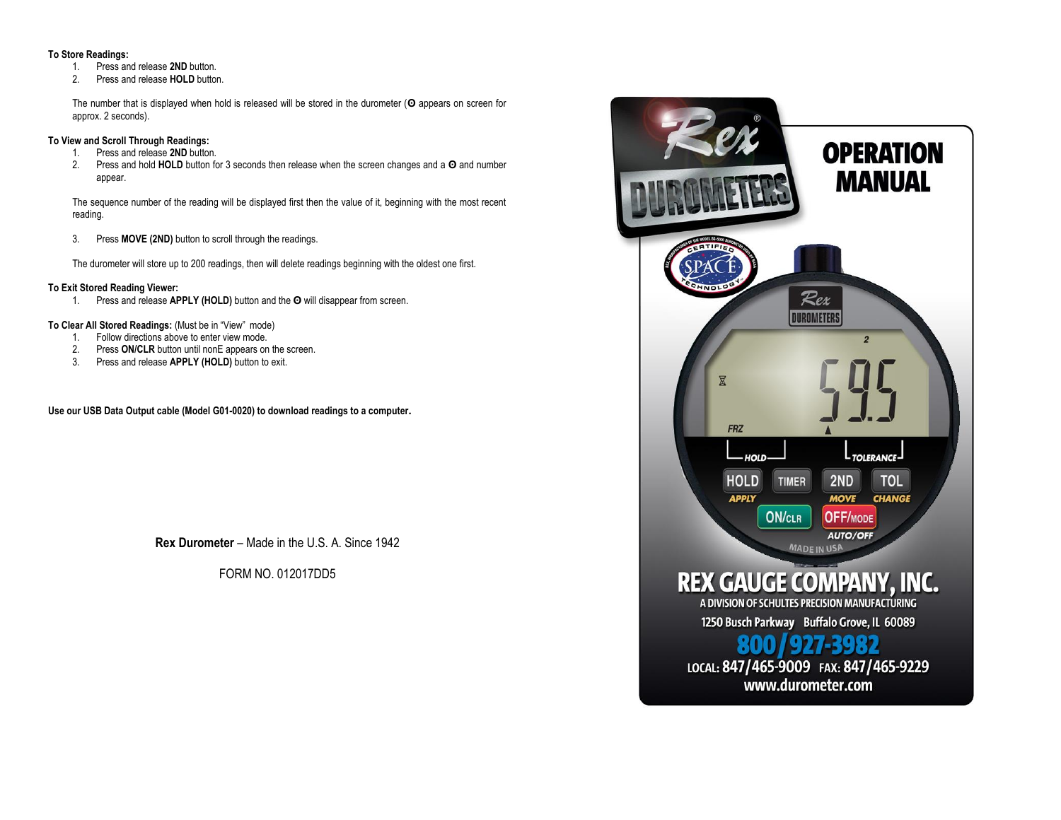#### **To Store Readings:**

- 1. Press and release **2ND** button.
- 2. Press and release **HOLD** button.

The number that is displayed when hold is released will be stored in the durometer (**ʘ** appears on screen for approx. 2 seconds).

## **To View and Scroll Through Readings:**

- 1. Press and release **2ND** button.
- 2. Press and hold **HOLD** button for 3 seconds then release when the screen changes and a **ʘ** and number appear.

The sequence number of the reading will be displayed first then the value of it, beginning with the most recent reading.

3. Press **MOVE (2ND)** button to scroll through the readings.

The durometer will store up to 200 readings, then will delete readings beginning with the oldest one first.

#### **To Exit Stored Reading Viewer:**

1. Press and release **APPLY (HOLD)** button and the **ʘ** will disappear from screen.

#### **To Clear All Stored Readings:** (Must be in "View" mode)

- 1. Follow directions above to enter view mode.
- 2. Press **ON/CLR** button until nonE appears on the screen.
- 3. Press and release **APPLY (HOLD)** button to exit.

**Use our USB Data Output cable (Model G01-0020) to download readings to a computer.**

**Rex Durometer** – Made in the U.S. A. Since 1942

FORM NO. 012017DD5